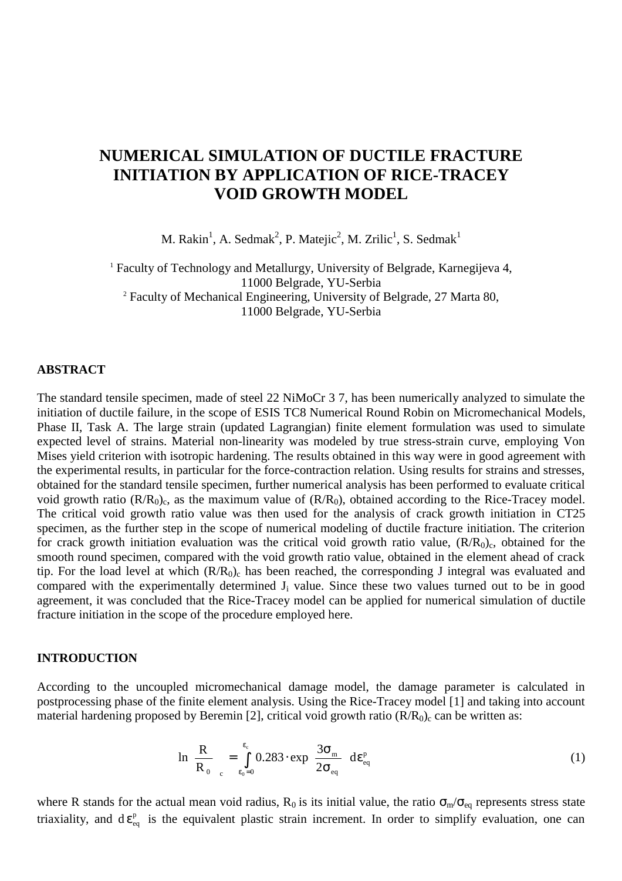# **NUMERICAL SIMULATION OF DUCTILE FRACTURE INITIATION BY APPLICATION OF RICE-TRACEY VOID GROWTH MODEL**

M. Rakin<sup>1</sup>, A. Sedmak<sup>2</sup>, P. Matejic<sup>2</sup>, M. Zrilic<sup>1</sup>, S. Sedmak<sup>1</sup>

<sup>1</sup> Faculty of Technology and Metallurgy, University of Belgrade, Karnegijeva 4, 11000 Belgrade, YU-Serbia <sup>2</sup> Faculty of Mechanical Engineering, University of Belgrade, 27 Marta 80, 11000 Belgrade, YU-Serbia

## **ABSTRACT**

The standard tensile specimen, made of steel 22 NiMoCr 3 7, has been numerically analyzed to simulate the initiation of ductile failure, in the scope of ESIS TC8 Numerical Round Robin on Micromechanical Models, Phase II, Task A. The large strain (updated Lagrangian) finite element formulation was used to simulate expected level of strains. Material non-linearity was modeled by true stress-strain curve, employing Von Mises yield criterion with isotropic hardening. The results obtained in this way were in good agreement with the experimental results, in particular for the force-contraction relation. Using results for strains and stresses, obtained for the standard tensile specimen, further numerical analysis has been performed to evaluate critical void growth ratio  $(R/R_0)_c$ , as the maximum value of  $(R/R_0)$ , obtained according to the Rice-Tracey model. The critical void growth ratio value was then used for the analysis of crack growth initiation in CT25 specimen, as the further step in the scope of numerical modeling of ductile fracture initiation. The criterion for crack growth initiation evaluation was the critical void growth ratio value,  $(R/R<sub>0</sub>)<sub>c</sub>$ , obtained for the smooth round specimen, compared with the void growth ratio value, obtained in the element ahead of crack tip. For the load level at which  $(R/R_0)_c$  has been reached, the corresponding J integral was evaluated and compared with the experimentally determined  $J_i$  value. Since these two values turned out to be in good agreement, it was concluded that the Rice-Tracey model can be applied for numerical simulation of ductile fracture initiation in the scope of the procedure employed here.

### **INTRODUCTION**

According to the uncoupled micromechanical damage model, the damage parameter is calculated in postprocessing phase of the finite element analysis. Using the Rice-Tracey model [1] and taking into account material hardening proposed by Beremin [2], critical void growth ratio  $(R/R_0)_c$  can be written as:

$$
\ln\left(\frac{R}{R_0}\right)_c = \int_{\epsilon_0 = 0}^{\epsilon_c} 0.283 \cdot \exp\left(\frac{3\sigma_m}{2\sigma_{\text{eq}}}\right) d\varepsilon_{\text{eq}}^p \tag{1}
$$

where R stands for the actual mean void radius,  $R_0$  is its initial value, the ratio  $\sigma_m/\sigma_{eq}$  represents stress state triaxiality, and  $d \varepsilon_{eq}^p$  is the equivalent plastic strain increment. In order to simplify evaluation, one can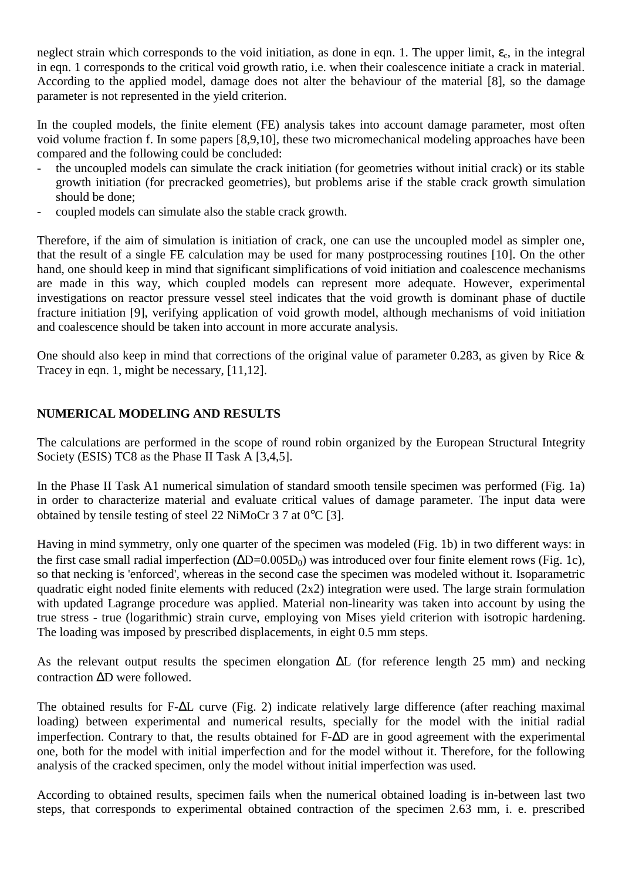neglect strain which corresponds to the void initiation, as done in eqn. 1. The upper limit,  $\varepsilon_c$ , in the integral in eqn. 1 corresponds to the critical void growth ratio, i.e. when their coalescence initiate a crack in material. According to the applied model, damage does not alter the behaviour of the material [8], so the damage parameter is not represented in the yield criterion.

In the coupled models, the finite element (FE) analysis takes into account damage parameter, most often void volume fraction f. In some papers [8,9,10], these two micromechanical modeling approaches have been compared and the following could be concluded:

- the uncoupled models can simulate the crack initiation (for geometries without initial crack) or its stable growth initiation (for precracked geometries), but problems arise if the stable crack growth simulation should be done;
- coupled models can simulate also the stable crack growth.

Therefore, if the aim of simulation is initiation of crack, one can use the uncoupled model as simpler one, that the result of a single FE calculation may be used for many postprocessing routines [10]. On the other hand, one should keep in mind that significant simplifications of void initiation and coalescence mechanisms are made in this way, which coupled models can represent more adequate. However, experimental investigations on reactor pressure vessel steel indicates that the void growth is dominant phase of ductile fracture initiation [9], verifying application of void growth model, although mechanisms of void initiation and coalescence should be taken into account in more accurate analysis.

One should also keep in mind that corrections of the original value of parameter 0.283, as given by Rice & Tracey in eqn. 1, might be necessary, [11,12].

# **NUMERICAL MODELING AND RESULTS**

The calculations are performed in the scope of round robin organized by the European Structural Integrity Society (ESIS) TC8 as the Phase II Task A [3,4,5].

In the Phase II Task A1 numerical simulation of standard smooth tensile specimen was performed (Fig. 1a) in order to characterize material and evaluate critical values of damage parameter. The input data were obtained by tensile testing of steel 22 NiMoCr 3 7 at 0°C [3].

Having in mind symmetry, only one quarter of the specimen was modeled (Fig. 1b) in two different ways: in the first case small radial imperfection (ΔD=0.005D<sub>0</sub>) was introduced over four finite element rows (Fig. 1c), so that necking is 'enforced', whereas in the second case the specimen was modeled without it. Isoparametric quadratic eight noded finite elements with reduced (2x2) integration were used. The large strain formulation with updated Lagrange procedure was applied. Material non-linearity was taken into account by using the true stress - true (logarithmic) strain curve, employing von Mises yield criterion with isotropic hardening. The loading was imposed by prescribed displacements, in eight 0.5 mm steps.

As the relevant output results the specimen elongation ∆L (for reference length 25 mm) and necking contraction ∆D were followed.

The obtained results for F-∆L curve (Fig. 2) indicate relatively large difference (after reaching maximal loading) between experimental and numerical results, specially for the model with the initial radial imperfection. Contrary to that, the results obtained for F-∆D are in good agreement with the experimental one, both for the model with initial imperfection and for the model without it. Therefore, for the following analysis of the cracked specimen, only the model without initial imperfection was used.

According to obtained results, specimen fails when the numerical obtained loading is in-between last two steps, that corresponds to experimental obtained contraction of the specimen 2.63 mm, i. e. prescribed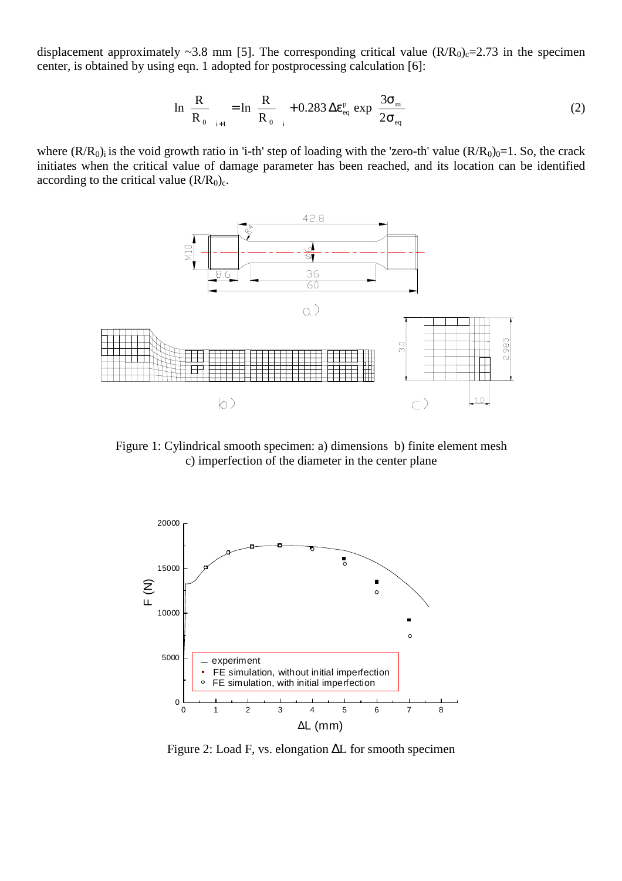displacement approximately ~3.8 mm [5]. The corresponding critical value  $(R/R_0)$ <sub>c</sub>=2.73 in the specimen center, is obtained by using eqn. 1 adopted for postprocessing calculation [6]:

$$
\ln\left(\frac{R}{R_0}\right)_{i+1} = \ln\left(\frac{R}{R_0}\right) + 0.283 \Delta \varepsilon_{\text{eq}}^{\text{p}} \exp\left(\frac{3\sigma_{\text{m}}}{2\sigma_{\text{eq}}}\right) \tag{2}
$$

where  $(R/R_0)_i$  is the void growth ratio in 'i-th' step of loading with the 'zero-th' value  $(R/R_0)_0=1$ . So, the crack initiates when the critical value of damage parameter has been reached, and its location can be identified according to the critical value  $(R/R_0)_c$ .



Figure 1: Cylindrical smooth specimen: a) dimensions b) finite element mesh c) imperfection of the diameter in the center plane



Figure 2: Load F, vs. elongation ∆L for smooth specimen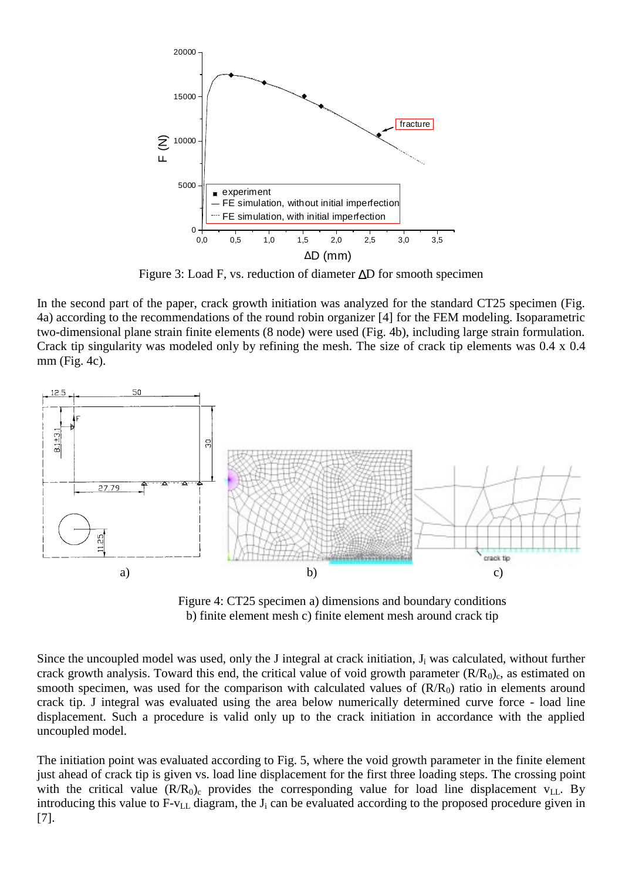

Figure 3: Load F, vs. reduction of diameter ∆D for smooth specimen

In the second part of the paper, crack growth initiation was analyzed for the standard CT25 specimen (Fig. 4a) according to the recommendations of the round robin organizer [4] for the FEM modeling. Isoparametric two-dimensional plane strain finite elements (8 node) were used (Fig. 4b), including large strain formulation. Crack tip singularity was modeled only by refining the mesh. The size of crack tip elements was 0.4 x 0.4 mm (Fig. 4c).



Figure 4: CT25 specimen a) dimensions and boundary conditions b) finite element mesh c) finite element mesh around crack tip

Since the uncoupled model was used, only the J integral at crack initiation,  $J_i$  was calculated, without further crack growth analysis. Toward this end, the critical value of void growth parameter  $(R/R<sub>0</sub>)<sub>c</sub>$ , as estimated on smooth specimen, was used for the comparison with calculated values of  $(R/R<sub>0</sub>)$  ratio in elements around crack tip. J integral was evaluated using the area below numerically determined curve force - load line displacement. Such a procedure is valid only up to the crack initiation in accordance with the applied uncoupled model.

The initiation point was evaluated according to Fig. 5, where the void growth parameter in the finite element just ahead of crack tip is given vs. load line displacement for the first three loading steps. The crossing point with the critical value  $(R/R_0)$  provides the corresponding value for load line displacement  $v_{LL}$ . By introducing this value to  $F-v_{LL}$  diagram, the  $J_i$  can be evaluated according to the proposed procedure given in [7].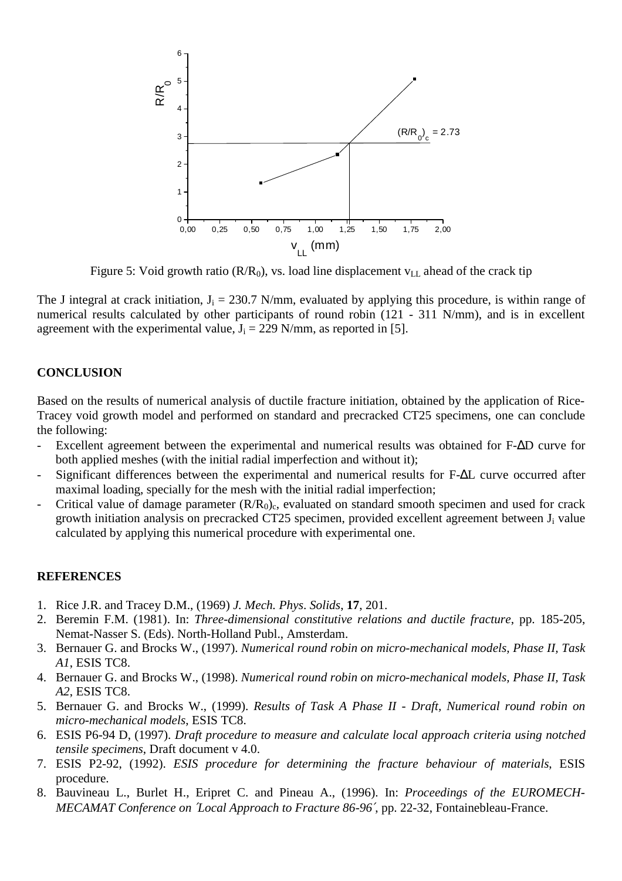

Figure 5: Void growth ratio ( $R/R_0$ ), vs. load line displacement  $v_{LL}$  ahead of the crack tip

The J integral at crack initiation,  $J_i = 230.7$  N/mm, evaluated by applying this procedure, is within range of numerical results calculated by other participants of round robin (121 - 311 N/mm), and is in excellent agreement with the experimental value,  $J_i = 229$  N/mm, as reported in [5].

## **CONCLUSION**

Based on the results of numerical analysis of ductile fracture initiation, obtained by the application of Rice-Tracey void growth model and performed on standard and precracked CT25 specimens, one can conclude the following:

- Excellent agreement between the experimental and numerical results was obtained for F-∆D curve for both applied meshes (with the initial radial imperfection and without it);
- Significant differences between the experimental and numerical results for F-∆L curve occurred after maximal loading, specially for the mesh with the initial radial imperfection;
- Critical value of damage parameter  $(R/R_0)_c$ , evaluated on standard smooth specimen and used for crack growth initiation analysis on precracked CT25 specimen, provided excellent agreement between  $J_i$  value calculated by applying this numerical procedure with experimental one.

#### **REFERENCES**

- 1. Rice J.R. and Tracey D.M., (1969) *J. Mech. Phys*. *Solids*, **17**, 201.
- 2. Beremin F.M. (1981). In: *Three-dimensional constitutive relations and ductile fracture*, pp. 185-205, Nemat-Nasser S. (Eds). North-Holland Publ., Amsterdam.
- 3. Bernauer G. and Brocks W., (1997). *Numerical round robin on micro-mechanical models, Phase II, Task A1*, ESIS TC8.
- 4. Bernauer G. and Brocks W., (1998). *Numerical round robin on micro-mechanical models, Phase II, Task A2*, ESIS TC8.
- 5. Bernauer G. and Brocks W., (1999). *Results of Task A Phase II Draft, Numerical round robin on micro-mechanical models*, ESIS TC8.
- 6. ESIS P6-94 D, (1997). *Draft procedure to measure and calculate local approach criteria using notched tensile specimens*, Draft document v 4.0.
- 7. ESIS P2-92, (1992). *ESIS procedure for determining the fracture behaviour of materials*, ESIS procedure.
- 8. Bauvineau L., Burlet H., Eripret C. and Pineau A., (1996). In: *Proceedings of the EUROMECH-MECAMAT Conference on* ′*Local Approach to Fracture 86-96*′, pp. 22-32, Fontainebleau-France.